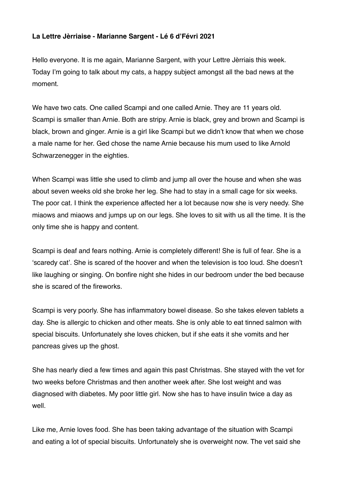## **La Lettre Jèrriaise - Marianne Sargent - Lé 6 d'Févri 2021**

Hello everyone. It is me again, Marianne Sargent, with your Lettre Jèrriais this week. Today I'm going to talk about my cats, a happy subject amongst all the bad news at the moment.

We have two cats. One called Scampi and one called Arnie. They are 11 years old. Scampi is smaller than Arnie. Both are stripy. Arnie is black, grey and brown and Scampi is black, brown and ginger. Arnie is a girl like Scampi but we didn't know that when we chose a male name for her. Ged chose the name Arnie because his mum used to like Arnold Schwarzenegger in the eighties.

When Scampi was little she used to climb and jump all over the house and when she was about seven weeks old she broke her leg. She had to stay in a small cage for six weeks. The poor cat. I think the experience affected her a lot because now she is very needy. She miaows and miaows and jumps up on our legs. She loves to sit with us all the time. It is the only time she is happy and content.

Scampi is deaf and fears nothing. Arnie is completely different! She is full of fear. She is a 'scaredy cat'. She is scared of the hoover and when the television is too loud. She doesn't like laughing or singing. On bonfire night she hides in our bedroom under the bed because she is scared of the fireworks.

Scampi is very poorly. She has inflammatory bowel disease. So she takes eleven tablets a day. She is allergic to chicken and other meats. She is only able to eat tinned salmon with special biscuits. Unfortunately she loves chicken, but if she eats it she vomits and her pancreas gives up the ghost.

She has nearly died a few times and again this past Christmas. She stayed with the vet for two weeks before Christmas and then another week after. She lost weight and was diagnosed with diabetes. My poor little girl. Now she has to have insulin twice a day as well.

Like me, Arnie loves food. She has been taking advantage of the situation with Scampi and eating a lot of special biscuits. Unfortunately she is overweight now. The vet said she